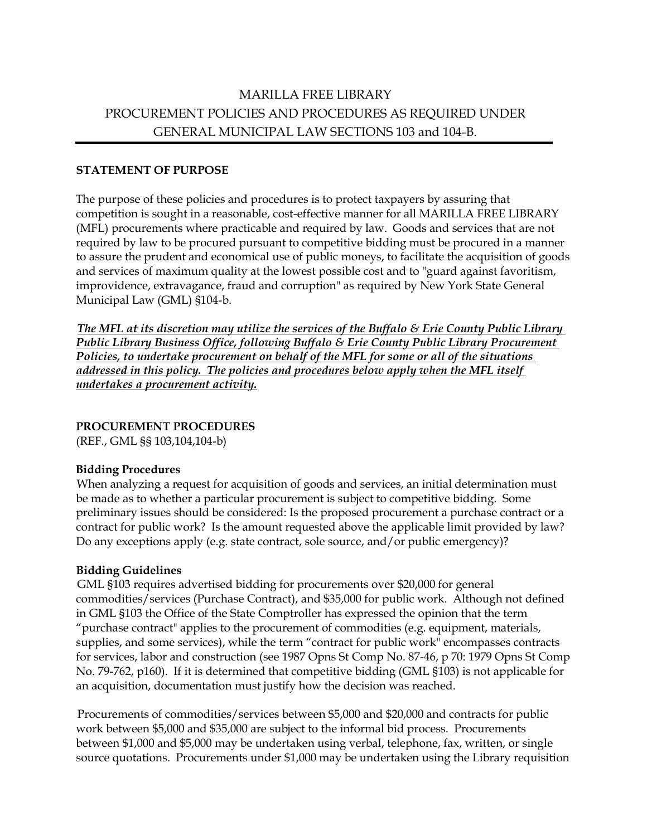# MARILLA FREE LIBRARY PROCUREMENT POLICIES AND PROCEDURES AS REQUIRED UNDER GENERAL MUNICIPAL LAW SECTIONS 103 and 104-B.

#### **STATEMENT OF PURPOSE**

The purpose of these policies and procedures is to protect taxpayers by assuring that competition is sought in a reasonable, cost-effective manner for all MARILLA FREE LIBRARY (MFL) procurements where practicable and required by law. Goods and services that are not required by law to be procured pursuant to competitive bidding must be procured in a manner to assure the prudent and economical use of public moneys, to facilitate the acquisition of goods and services of maximum quality at the lowest possible cost and to "guard against favoritism, improvidence, extravagance, fraud and corruption" as required by New York State General Municipal Law (GML) §104-b.

*The MFL at its discretion may utilize the services of the Buffalo & Erie County Public Library Public Library Business Office, following Buffalo & Erie County Public Library Procurement Policies, to undertake procurement on behalf of the MFL for some or all of the situations*  addressed in this policy. The policies and procedures below apply when the MFL itself *undertakes a procurement activity.*

#### **PROCUREMENT PROCEDURES**

(REF., GML §§ 103,104,104-b)

#### **Bidding Procedures**

When analyzing a request for acquisition of goods and services, an initial determination must be made as to whether a particular procurement is subject to competitive bidding. Some preliminary issues should be considered: Is the proposed procurement a purchase contract or a contract for public work? Is the amount requested above the applicable limit provided by law? Do any exceptions apply (e.g. state contract, sole source, and/or public emergency)?

#### **Bidding Guidelines**

GML §103 requires advertised bidding for procurements over \$20,000 for general commodities/services (Purchase Contract), and \$35,000 for public work. Although not defined in GML §103 the Office of the State Comptroller has expressed the opinion that the term "purchase contract" applies to the procurement of commodities (e.g. equipment, materials, supplies, and some services), while the term "contract for public work" encompasses contracts for services, labor and construction (see 1987 Opns St Comp No. 87-46, p 70: 1979 Opns St Comp No. 79-762, p160). If it is determined that competitive bidding (GML §103) is not applicable for an acquisition, documentation must justify how the decision was reached.

Procurements of commodities/services between \$5,000 and \$20,000 and contracts for public work between \$5,000 and \$35,000 are subject to the informal bid process. Procurements between \$1,000 and \$5,000 may be undertaken using verbal, telephone, fax, written, or single source quotations. Procurements under \$1,000 may be undertaken using the Library requisition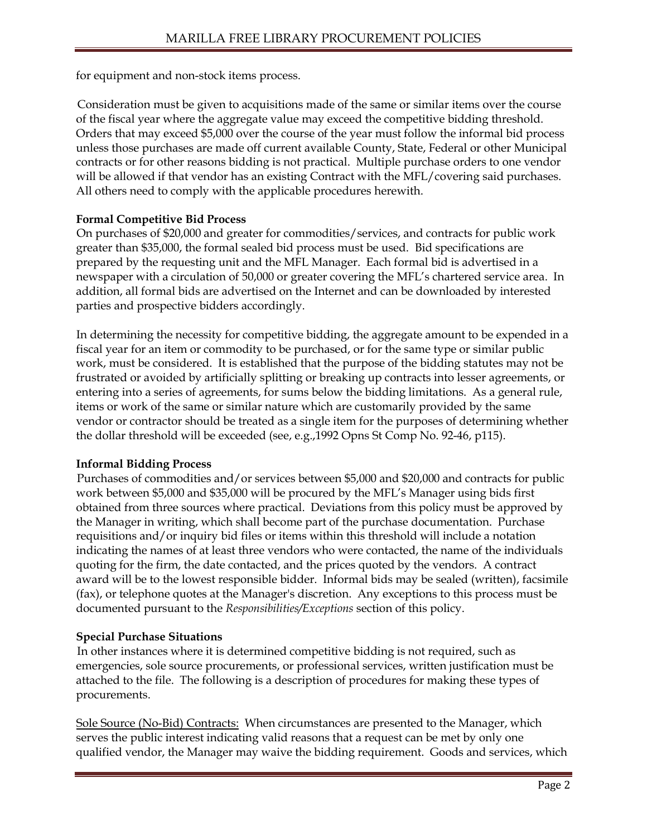for equipment and non-stock items process.

Consideration must be given to acquisitions made of the same or similar items over the course of the fiscal year where the aggregate value may exceed the competitive bidding threshold. Orders that may exceed \$5,000 over the course of the year must follow the informal bid process unless those purchases are made off current available County, State, Federal or other Municipal contracts or for other reasons bidding is not practical. Multiple purchase orders to one vendor will be allowed if that vendor has an existing Contract with the MFL/covering said purchases. All others need to comply with the applicable procedures herewith.

#### **Formal Competitive Bid Process**

On purchases of \$20,000 and greater for commodities/services, and contracts for public work greater than \$35,000, the formal sealed bid process must be used. Bid specifications are prepared by the requesting unit and the MFL Manager. Each formal bid is advertised in a newspaper with a circulation of 50,000 or greater covering the MFL's chartered service area. In addition, all formal bids are advertised on the Internet and can be downloaded by interested parties and prospective bidders accordingly.

In determining the necessity for competitive bidding, the aggregate amount to be expended in a fiscal year for an item or commodity to be purchased, or for the same type or similar public work, must be considered. It is established that the purpose of the bidding statutes may not be frustrated or avoided by artificially splitting or breaking up contracts into lesser agreements, or entering into a series of agreements, for sums below the bidding limitations. As a general rule, items or work of the same or similar nature which are customarily provided by the same vendor or contractor should be treated as a single item for the purposes of determining whether the dollar threshold will be exceeded (see, e.g.,1992 Opns St Comp No. 92-46, p115).

#### **Informal Bidding Process**

Purchases of commodities and/or services between \$5,000 and \$20,000 and contracts for public work between \$5,000 and \$35,000 will be procured by the MFL's Manager using bids first obtained from three sources where practical. Deviations from this policy must be approved by the Manager in writing, which shall become part of the purchase documentation. Purchase requisitions and/or inquiry bid files or items within this threshold will include a notation indicating the names of at least three vendors who were contacted, the name of the individuals quoting for the firm, the date contacted, and the prices quoted by the vendors. A contract award will be to the lowest responsible bidder. Informal bids may be sealed (written), facsimile (fax), or telephone quotes at the Manager's discretion. Any exceptions to this process must be documented pursuant to the *Responsibilities/Exceptions* section of this policy.

#### **Special Purchase Situations**

In other instances where it is determined competitive bidding is not required, such as emergencies, sole source procurements, or professional services, written justification must be attached to the file. The following is a description of procedures for making these types of procurements.

Sole Source (No-Bid) Contracts: When circumstances are presented to the Manager, which serves the public interest indicating valid reasons that a request can be met by only one qualified vendor, the Manager may waive the bidding requirement. Goods and services, which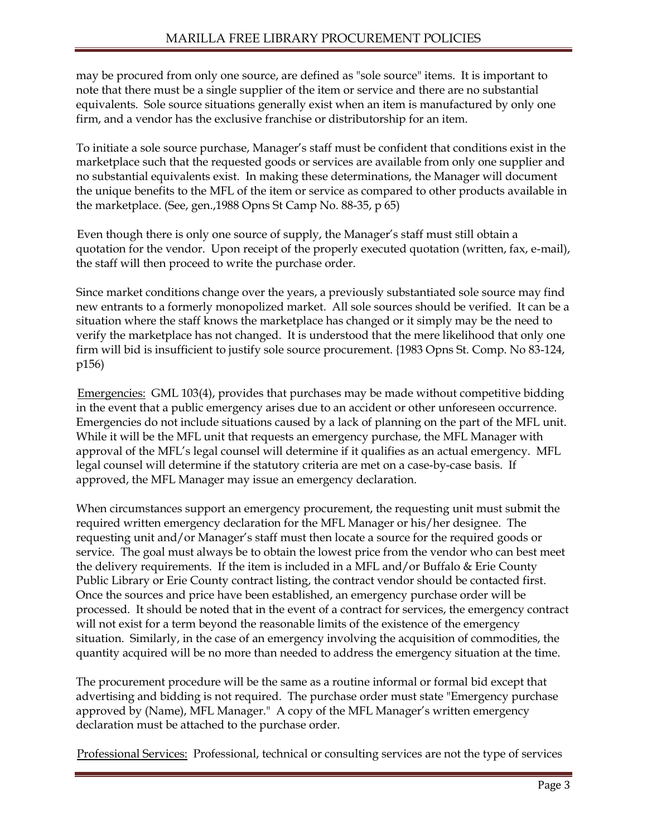may be procured from only one source, are defined as "sole source" items. It is important to note that there must be a single supplier of the item or service and there are no substantial equivalents. Sole source situations generally exist when an item is manufactured by only one firm, and a vendor has the exclusive franchise or distributorship for an item.

To initiate a sole source purchase, Manager's staff must be confident that conditions exist in the marketplace such that the requested goods or services are available from only one supplier and no substantial equivalents exist. In making these determinations, the Manager will document the unique benefits to the MFL of the item or service as compared to other products available in the marketplace. (See, gen.,1988 Opns St Camp No. 88-35, p 65)

Even though there is only one source of supply, the Manager's staff must still obtain a quotation for the vendor. Upon receipt of the properly executed quotation (written, fax, e-mail), the staff will then proceed to write the purchase order.

Since market conditions change over the years, a previously substantiated sole source may find new entrants to a formerly monopolized market. All sole sources should be verified. It can be a situation where the staff knows the marketplace has changed or it simply may be the need to verify the marketplace has not changed. It is understood that the mere likelihood that only one firm will bid is insufficient to justify sole source procurement. {1983 Opns St. Comp. No 83-124, p156)

Emergencies: GML 103(4), provides that purchases may be made without competitive bidding in the event that a public emergency arises due to an accident or other unforeseen occurrence. Emergencies do not include situations caused by a lack of planning on the part of the MFL unit. While it will be the MFL unit that requests an emergency purchase, the MFL Manager with approval of the MFL's legal counsel will determine if it qualifies as an actual emergency. MFL legal counsel will determine if the statutory criteria are met on a case-by-case basis. If approved, the MFL Manager may issue an emergency declaration.

When circumstances support an emergency procurement, the requesting unit must submit the required written emergency declaration for the MFL Manager or his/her designee. The requesting unit and/or Manager's staff must then locate a source for the required goods or service. The goal must always be to obtain the lowest price from the vendor who can best meet the delivery requirements. If the item is included in a MFL and/or Buffalo & Erie County Public Library or Erie County contract listing, the contract vendor should be contacted first. Once the sources and price have been established, an emergency purchase order will be processed. It should be noted that in the event of a contract for services, the emergency contract will not exist for a term beyond the reasonable limits of the existence of the emergency situation. Similarly, in the case of an emergency involving the acquisition of commodities, the quantity acquired will be no more than needed to address the emergency situation at the time.

The procurement procedure will be the same as a routine informal or formal bid except that advertising and bidding is not required. The purchase order must state "Emergency purchase approved by (Name), MFL Manager." A copy of the MFL Manager's written emergency declaration must be attached to the purchase order.

Professional Services: Professional, technical or consulting services are not the type of services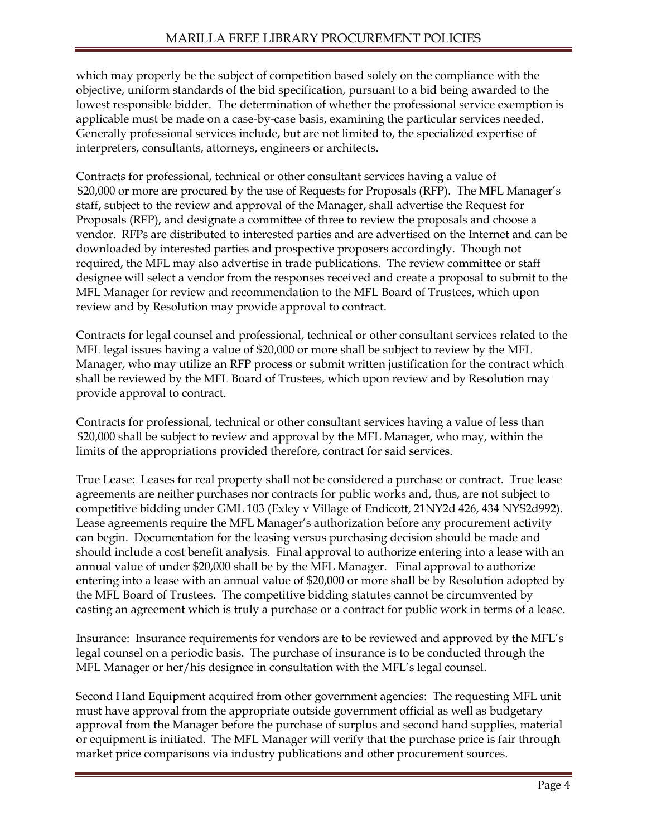which may properly be the subject of competition based solely on the compliance with the objective, uniform standards of the bid specification, pursuant to a bid being awarded to the lowest responsible bidder. The determination of whether the professional service exemption is applicable must be made on a case-by-case basis, examining the particular services needed. Generally professional services include, but are not limited to, the specialized expertise of interpreters, consultants, attorneys, engineers or architects.

Contracts for professional, technical or other consultant services having a value of \$20,000 or more are procured by the use of Requests for Proposals (RFP). The MFL Manager's staff, subject to the review and approval of the Manager, shall advertise the Request for Proposals (RFP), and designate a committee of three to review the proposals and choose a vendor. RFPs are distributed to interested parties and are advertised on the Internet and can be downloaded by interested parties and prospective proposers accordingly. Though not required, the MFL may also advertise in trade publications. The review committee or staff designee will select a vendor from the responses received and create a proposal to submit to the MFL Manager for review and recommendation to the MFL Board of Trustees, which upon review and by Resolution may provide approval to contract.

Contracts for legal counsel and professional, technical or other consultant services related to the MFL legal issues having a value of \$20,000 or more shall be subject to review by the MFL Manager, who may utilize an RFP process or submit written justification for the contract which shall be reviewed by the MFL Board of Trustees, which upon review and by Resolution may provide approval to contract.

Contracts for professional, technical or other consultant services having a value of less than \$20,000 shall be subject to review and approval by the MFL Manager, who may, within the limits of the appropriations provided therefore, contract for said services.

True Lease: Leases for real property shall not be considered a purchase or contract. True lease agreements are neither purchases nor contracts for public works and, thus, are not subject to competitive bidding under GML 103 (Exley v Village of Endicott, 21NY2d 426, 434 NYS2d992). Lease agreements require the MFL Manager's authorization before any procurement activity can begin. Documentation for the leasing versus purchasing decision should be made and should include a cost benefit analysis. Final approval to authorize entering into a lease with an annual value of under \$20,000 shall be by the MFL Manager. Final approval to authorize entering into a lease with an annual value of \$20,000 or more shall be by Resolution adopted by the MFL Board of Trustees. The competitive bidding statutes cannot be circumvented by casting an agreement which is truly a purchase or a contract for public work in terms of a lease.

Insurance: Insurance requirements for vendors are to be reviewed and approved by the MFL's legal counsel on a periodic basis. The purchase of insurance is to be conducted through the MFL Manager or her/his designee in consultation with the MFL's legal counsel.

Second Hand Equipment acquired from other government agencies: The requesting MFL unit must have approval from the appropriate outside government official as well as budgetary approval from the Manager before the purchase of surplus and second hand supplies, material or equipment is initiated. The MFL Manager will verify that the purchase price is fair through market price comparisons via industry publications and other procurement sources.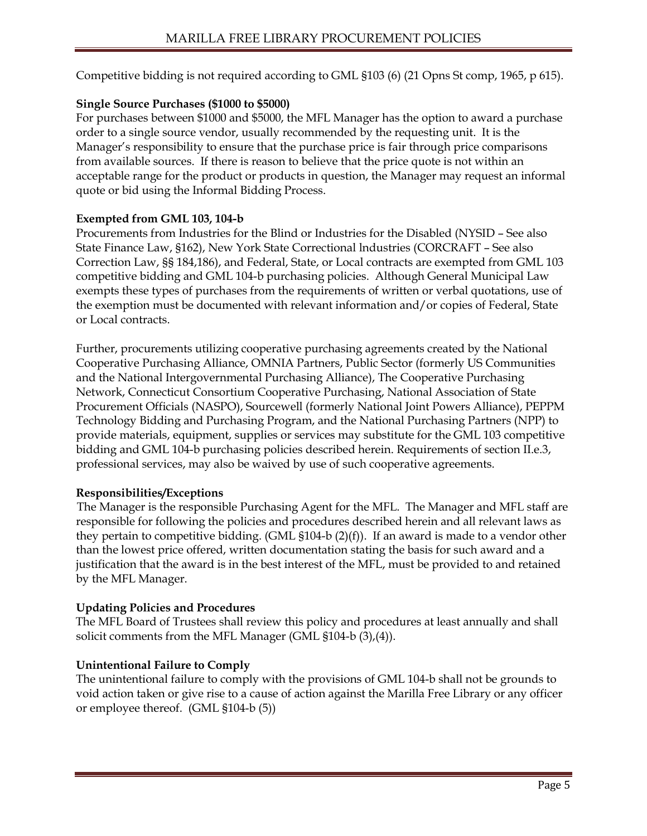Competitive bidding is not required according to GML §103 (6) (21 Opns St comp, 1965, p 615).

## **Single Source Purchases (\$1000 to \$5000)**

For purchases between \$1000 and \$5000, the MFL Manager has the option to award a purchase order to a single source vendor, usually recommended by the requesting unit. It is the Manager's responsibility to ensure that the purchase price is fair through price comparisons from available sources. If there is reason to believe that the price quote is not within an acceptable range for the product or products in question, the Manager may request an informal quote or bid using the Informal Bidding Process.

## **Exempted from GML 103, 104-b**

Procurements from Industries for the Blind or Industries for the Disabled (NYSID – See also State Finance Law, §162), New York State Correctional lndustries (CORCRAFT – See also Correction Law, §§ 184,186), and Federal, State, or Local contracts are exempted from GML 103 competitive bidding and GML 104-b purchasing policies. Although General Municipal Law exempts these types of purchases from the requirements of written or verbal quotations, use of the exemption must be documented with relevant information and/or copies of Federal, State or Local contracts.

Further, procurements utilizing cooperative purchasing agreements created by the National Cooperative Purchasing Alliance, OMNIA Partners, Public Sector (formerly US Communities and the National Intergovernmental Purchasing Alliance), The Cooperative Purchasing Network, Connecticut Consortium Cooperative Purchasing, National Association of State Procurement Officials (NASPO), Sourcewell (formerly National Joint Powers Alliance), PEPPM Technology Bidding and Purchasing Program, and the National Purchasing Partners (NPP) to provide materials, equipment, supplies or services may substitute for the GML 103 competitive bidding and GML 104-b purchasing policies described herein. Requirements of section II.e.3, professional services, may also be waived by use of such cooperative agreements.

## **Responsibilities/Exceptions**

The Manager is the responsible Purchasing Agent for the MFL. The Manager and MFL staff are responsible for following the policies and procedures described herein and all relevant laws as they pertain to competitive bidding. (GML §104-b (2)(f)). If an award is made to a vendor other than the lowest price offered, written documentation stating the basis for such award and a justification that the award is in the best interest of the MFL, must be provided to and retained by the MFL Manager.

## **Updating Policies and Procedures**

The MFL Board of Trustees shall review this policy and procedures at least annually and shall solicit comments from the MFL Manager (GML §104-b (3),(4)).

## **Unintentional Failure to Comply**

The unintentional failure to comply with the provisions of GML 104-b shall not be grounds to void action taken or give rise to a cause of action against the Marilla Free Library or any officer or employee thereof. (GML §104-b (5))